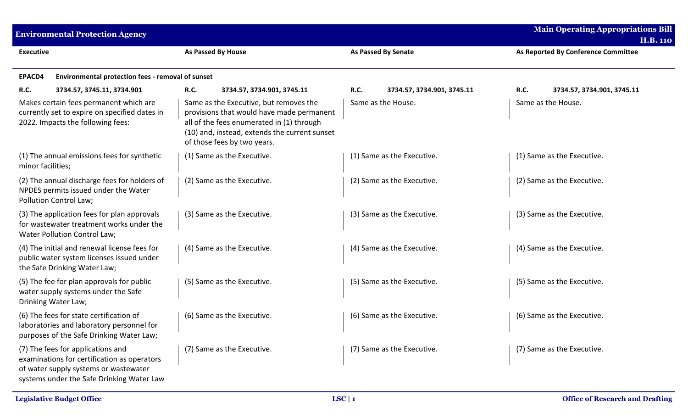| <b>Main Operating Appropriations Bill</b><br><b>Environmental Protection Agency</b><br><b>H.B. 110</b>                                                                 |                                                                                                                                                                                                                  |                                    |                                     |  |  |  |
|------------------------------------------------------------------------------------------------------------------------------------------------------------------------|------------------------------------------------------------------------------------------------------------------------------------------------------------------------------------------------------------------|------------------------------------|-------------------------------------|--|--|--|
| <b>Executive</b>                                                                                                                                                       | <b>As Passed By House</b>                                                                                                                                                                                        | <b>As Passed By Senate</b>         | As Reported By Conference Committee |  |  |  |
| EPACD4<br>Environmental protection fees - removal of sunset                                                                                                            |                                                                                                                                                                                                                  |                                    |                                     |  |  |  |
| <b>R.C.</b><br>3734.57, 3745.11, 3734.901                                                                                                                              | R.C.<br>3734.57, 3734.901, 3745.11                                                                                                                                                                               | R.C.<br>3734.57, 3734.901, 3745.11 | R.C.<br>3734.57, 3734.901, 3745.11  |  |  |  |
| Makes certain fees permanent which are<br>currently set to expire on specified dates in<br>2022. Impacts the following fees:                                           | Same as the Executive, but removes the<br>provisions that would have made permanent<br>all of the fees enumerated in (1) through<br>(10) and, instead, extends the current sunset<br>of those fees by two years. | Same as the House.                 | Same as the House.                  |  |  |  |
| (1) The annual emissions fees for synthetic<br>minor facilities;                                                                                                       | (1) Same as the Executive.                                                                                                                                                                                       | (1) Same as the Executive.         | (1) Same as the Executive.          |  |  |  |
| (2) The annual discharge fees for holders of<br>NPDES permits issued under the Water<br>Pollution Control Law;                                                         | (2) Same as the Executive.                                                                                                                                                                                       | (2) Same as the Executive.         | (2) Same as the Executive.          |  |  |  |
| (3) The application fees for plan approvals<br>for wastewater treatment works under the<br>Water Pollution Control Law;                                                | (3) Same as the Executive.                                                                                                                                                                                       | (3) Same as the Executive.         | (3) Same as the Executive.          |  |  |  |
| (4) The initial and renewal license fees for<br>public water system licenses issued under<br>the Safe Drinking Water Law;                                              | (4) Same as the Executive.                                                                                                                                                                                       | (4) Same as the Executive.         | (4) Same as the Executive.          |  |  |  |
| (5) The fee for plan approvals for public<br>water supply systems under the Safe<br>Drinking Water Law;                                                                | (5) Same as the Executive.                                                                                                                                                                                       | (5) Same as the Executive.         | (5) Same as the Executive.          |  |  |  |
| (6) The fees for state certification of<br>laboratories and laboratory personnel for<br>purposes of the Safe Drinking Water Law;                                       | (6) Same as the Executive.                                                                                                                                                                                       | (6) Same as the Executive.         | (6) Same as the Executive.          |  |  |  |
| (7) The fees for applications and<br>examinations for certification as operators<br>of water supply systems or wastewater<br>systems under the Safe Drinking Water Law | (7) Same as the Executive.                                                                                                                                                                                       | (7) Same as the Executive.         | (7) Same as the Executive.          |  |  |  |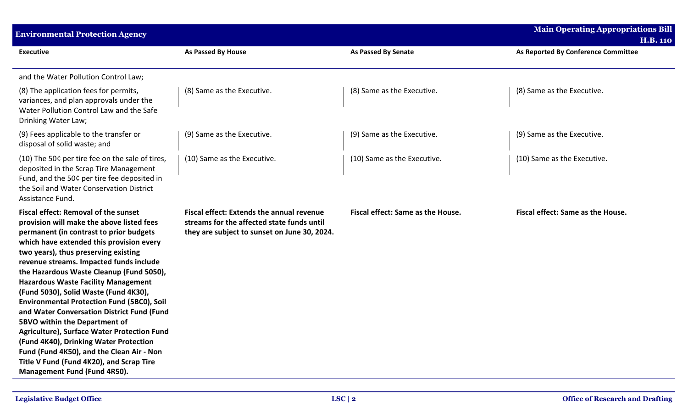| <b>Environmental Protection Agency</b>                                                                                                                                                                                                                                                                                                                                                                                                                                                                                                                                                                                                                                                                                                                      |                                                                                                                                                |                                   | <b>Main Operating Appropriations Bill</b> |
|-------------------------------------------------------------------------------------------------------------------------------------------------------------------------------------------------------------------------------------------------------------------------------------------------------------------------------------------------------------------------------------------------------------------------------------------------------------------------------------------------------------------------------------------------------------------------------------------------------------------------------------------------------------------------------------------------------------------------------------------------------------|------------------------------------------------------------------------------------------------------------------------------------------------|-----------------------------------|-------------------------------------------|
|                                                                                                                                                                                                                                                                                                                                                                                                                                                                                                                                                                                                                                                                                                                                                             |                                                                                                                                                |                                   | <b>H.B. 110</b>                           |
| <b>Executive</b>                                                                                                                                                                                                                                                                                                                                                                                                                                                                                                                                                                                                                                                                                                                                            | As Passed By House                                                                                                                             | <b>As Passed By Senate</b>        | As Reported By Conference Committee       |
| and the Water Pollution Control Law;                                                                                                                                                                                                                                                                                                                                                                                                                                                                                                                                                                                                                                                                                                                        |                                                                                                                                                |                                   |                                           |
| (8) The application fees for permits,<br>variances, and plan approvals under the<br>Water Pollution Control Law and the Safe<br>Drinking Water Law;                                                                                                                                                                                                                                                                                                                                                                                                                                                                                                                                                                                                         | (8) Same as the Executive.                                                                                                                     | (8) Same as the Executive.        | (8) Same as the Executive.                |
| (9) Fees applicable to the transfer or<br>disposal of solid waste; and                                                                                                                                                                                                                                                                                                                                                                                                                                                                                                                                                                                                                                                                                      | (9) Same as the Executive.                                                                                                                     | (9) Same as the Executive.        | (9) Same as the Executive.                |
| (10) The 50¢ per tire fee on the sale of tires,<br>deposited in the Scrap Tire Management<br>Fund, and the 50¢ per tire fee deposited in<br>the Soil and Water Conservation District<br>Assistance Fund.                                                                                                                                                                                                                                                                                                                                                                                                                                                                                                                                                    | (10) Same as the Executive.                                                                                                                    | (10) Same as the Executive.       | (10) Same as the Executive.               |
| <b>Fiscal effect: Removal of the sunset</b><br>provision will make the above listed fees<br>permanent (in contrast to prior budgets<br>which have extended this provision every<br>two years), thus preserving existing<br>revenue streams. Impacted funds include<br>the Hazardous Waste Cleanup (Fund 5050),<br><b>Hazardous Waste Facility Management</b><br>(Fund 5030), Solid Waste (Fund 4K30),<br><b>Environmental Protection Fund (5BC0), Soil</b><br>and Water Conversation District Fund (Fund<br>5BVO within the Department of<br>Agriculture), Surface Water Protection Fund<br>(Fund 4K40), Drinking Water Protection<br>Fund (Fund 4K50), and the Clean Air - Non<br>Title V Fund (Fund 4K20), and Scrap Tire<br>Management Fund (Fund 4R50). | <b>Fiscal effect: Extends the annual revenue</b><br>streams for the affected state funds until<br>they are subject to sunset on June 30, 2024. | Fiscal effect: Same as the House. | Fiscal effect: Same as the House.         |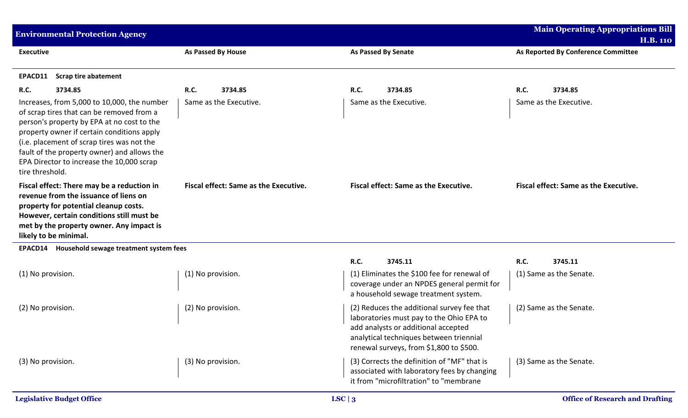| <b>Environmental Protection Agency</b>                                                                                                                                                                                                                                                                                                            |                                       |                                                                                                                                                                                                                     | <b>Main Operating Appropriations Bill</b>    |
|---------------------------------------------------------------------------------------------------------------------------------------------------------------------------------------------------------------------------------------------------------------------------------------------------------------------------------------------------|---------------------------------------|---------------------------------------------------------------------------------------------------------------------------------------------------------------------------------------------------------------------|----------------------------------------------|
|                                                                                                                                                                                                                                                                                                                                                   |                                       |                                                                                                                                                                                                                     | <b>H.B. 110</b>                              |
| <b>Executive</b>                                                                                                                                                                                                                                                                                                                                  | <b>As Passed By House</b>             | <b>As Passed By Senate</b>                                                                                                                                                                                          | As Reported By Conference Committee          |
| <b>Scrap tire abatement</b><br>EPACD11                                                                                                                                                                                                                                                                                                            |                                       |                                                                                                                                                                                                                     |                                              |
| 3734.85<br><b>R.C.</b>                                                                                                                                                                                                                                                                                                                            | 3734.85<br><b>R.C.</b>                | R.C.<br>3734.85                                                                                                                                                                                                     | R.C.<br>3734.85                              |
| Increases, from 5,000 to 10,000, the number<br>of scrap tires that can be removed from a<br>person's property by EPA at no cost to the<br>property owner if certain conditions apply<br>(i.e. placement of scrap tires was not the<br>fault of the property owner) and allows the<br>EPA Director to increase the 10,000 scrap<br>tire threshold. | Same as the Executive.                | Same as the Executive.                                                                                                                                                                                              | Same as the Executive.                       |
| Fiscal effect: There may be a reduction in<br>revenue from the issuance of liens on<br>property for potential cleanup costs.<br>However, certain conditions still must be<br>met by the property owner. Any impact is<br>likely to be minimal.                                                                                                    | Fiscal effect: Same as the Executive. | <b>Fiscal effect: Same as the Executive.</b>                                                                                                                                                                        | <b>Fiscal effect: Same as the Executive.</b> |
| EPACD14 Household sewage treatment system fees                                                                                                                                                                                                                                                                                                    |                                       |                                                                                                                                                                                                                     |                                              |
|                                                                                                                                                                                                                                                                                                                                                   |                                       | R.C.<br>3745.11                                                                                                                                                                                                     | R.C.<br>3745.11                              |
| (1) No provision.                                                                                                                                                                                                                                                                                                                                 | (1) No provision.                     | (1) Eliminates the \$100 fee for renewal of<br>coverage under an NPDES general permit for<br>a household sewage treatment system.                                                                                   | (1) Same as the Senate.                      |
| (2) No provision.                                                                                                                                                                                                                                                                                                                                 | (2) No provision.                     | (2) Reduces the additional survey fee that<br>laboratories must pay to the Ohio EPA to<br>add analysts or additional accepted<br>analytical techniques between triennial<br>renewal surveys, from \$1,800 to \$500. | (2) Same as the Senate.                      |
| (3) No provision.                                                                                                                                                                                                                                                                                                                                 | (3) No provision.                     | (3) Corrects the definition of "MF" that is<br>associated with laboratory fees by changing<br>it from "microfiltration" to "membrane                                                                                | (3) Same as the Senate.                      |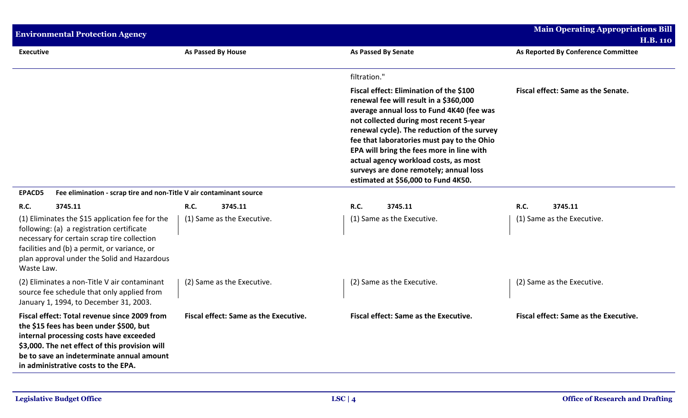|                  | <b>Environmental Protection Agency</b>                                                                                                                                                                                                                                   |                           |                                       |              |                                                                                                                                                                                                                                                                                                                                                                                                                                               |      | <b>Main Operating Appropriations Bill</b> |
|------------------|--------------------------------------------------------------------------------------------------------------------------------------------------------------------------------------------------------------------------------------------------------------------------|---------------------------|---------------------------------------|--------------|-----------------------------------------------------------------------------------------------------------------------------------------------------------------------------------------------------------------------------------------------------------------------------------------------------------------------------------------------------------------------------------------------------------------------------------------------|------|-------------------------------------------|
|                  |                                                                                                                                                                                                                                                                          |                           |                                       |              |                                                                                                                                                                                                                                                                                                                                                                                                                                               |      | <b>H.B. 110</b>                           |
| <b>Executive</b> |                                                                                                                                                                                                                                                                          | <b>As Passed By House</b> |                                       |              | <b>As Passed By Senate</b>                                                                                                                                                                                                                                                                                                                                                                                                                    |      | As Reported By Conference Committee       |
|                  |                                                                                                                                                                                                                                                                          |                           |                                       | filtration." |                                                                                                                                                                                                                                                                                                                                                                                                                                               |      |                                           |
|                  |                                                                                                                                                                                                                                                                          |                           |                                       |              | Fiscal effect: Elimination of the \$100<br>renewal fee will result in a \$360,000<br>average annual loss to Fund 4K40 (fee was<br>not collected during most recent 5-year<br>renewal cycle). The reduction of the survey<br>fee that laboratories must pay to the Ohio<br>EPA will bring the fees more in line with<br>actual agency workload costs, as most<br>surveys are done remotely; annual loss<br>estimated at \$56,000 to Fund 4K50. |      | Fiscal effect: Same as the Senate.        |
| <b>EPACD5</b>    | Fee elimination - scrap tire and non-Title V air contaminant source                                                                                                                                                                                                      |                           |                                       |              |                                                                                                                                                                                                                                                                                                                                                                                                                                               |      |                                           |
| <b>R.C.</b>      | 3745.11                                                                                                                                                                                                                                                                  | <b>R.C.</b>               | 3745.11                               | R.C.         | 3745.11                                                                                                                                                                                                                                                                                                                                                                                                                                       | R.C. | 3745.11                                   |
| Waste Law.       | (1) Eliminates the \$15 application fee for the<br>following: (a) a registration certificate<br>necessary for certain scrap tire collection<br>facilities and (b) a permit, or variance, or<br>plan approval under the Solid and Hazardous                               |                           | (1) Same as the Executive.            |              | (1) Same as the Executive.                                                                                                                                                                                                                                                                                                                                                                                                                    |      | (1) Same as the Executive.                |
|                  | (2) Eliminates a non-Title V air contaminant<br>source fee schedule that only applied from<br>January 1, 1994, to December 31, 2003.                                                                                                                                     |                           | (2) Same as the Executive.            |              | (2) Same as the Executive.                                                                                                                                                                                                                                                                                                                                                                                                                    |      | (2) Same as the Executive.                |
|                  | Fiscal effect: Total revenue since 2009 from<br>the \$15 fees has been under \$500, but<br>internal processing costs have exceeded<br>\$3,000. The net effect of this provision will<br>be to save an indeterminate annual amount<br>in administrative costs to the EPA. |                           | Fiscal effect: Same as the Executive. |              | Fiscal effect: Same as the Executive.                                                                                                                                                                                                                                                                                                                                                                                                         |      | Fiscal effect: Same as the Executive.     |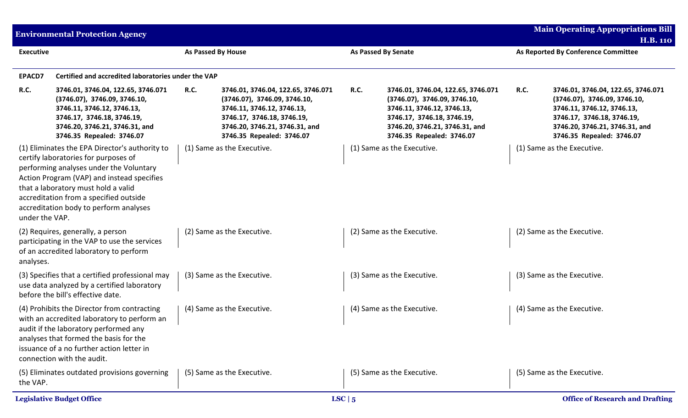|                  | <b>Environmental Protection Agency</b>                                                                                                                                                                                                                                                                     |                    |                                                                                                                                                                                               |                            |                                                                                                                                                                                               | <b>Main Operating Appropriations Bill</b><br><b>H.B. 110</b> |                                                                                                                                                                                               |  |
|------------------|------------------------------------------------------------------------------------------------------------------------------------------------------------------------------------------------------------------------------------------------------------------------------------------------------------|--------------------|-----------------------------------------------------------------------------------------------------------------------------------------------------------------------------------------------|----------------------------|-----------------------------------------------------------------------------------------------------------------------------------------------------------------------------------------------|--------------------------------------------------------------|-----------------------------------------------------------------------------------------------------------------------------------------------------------------------------------------------|--|
| <b>Executive</b> |                                                                                                                                                                                                                                                                                                            | As Passed By House |                                                                                                                                                                                               | <b>As Passed By Senate</b> |                                                                                                                                                                                               |                                                              | As Reported By Conference Committee                                                                                                                                                           |  |
| EPACD7           | Certified and accredited laboratories under the VAP                                                                                                                                                                                                                                                        |                    |                                                                                                                                                                                               |                            |                                                                                                                                                                                               |                                                              |                                                                                                                                                                                               |  |
| R.C.             | 3746.01, 3746.04, 122.65, 3746.071<br>(3746.07), 3746.09, 3746.10,<br>3746.11, 3746.12, 3746.13,<br>3746.17, 3746.18, 3746.19,<br>3746.20, 3746.21, 3746.31, and<br>3746.35 Repealed: 3746.07                                                                                                              | <b>R.C.</b>        | 3746.01, 3746.04, 122.65, 3746.071<br>(3746.07), 3746.09, 3746.10,<br>3746.11, 3746.12, 3746.13,<br>3746.17, 3746.18, 3746.19,<br>3746.20, 3746.21, 3746.31, and<br>3746.35 Repealed: 3746.07 | <b>R.C.</b>                | 3746.01, 3746.04, 122.65, 3746.071<br>(3746.07), 3746.09, 3746.10,<br>3746.11, 3746.12, 3746.13,<br>3746.17, 3746.18, 3746.19,<br>3746.20, 3746.21, 3746.31, and<br>3746.35 Repealed: 3746.07 | <b>R.C.</b>                                                  | 3746.01, 3746.04, 122.65, 3746.071<br>(3746.07), 3746.09, 3746.10,<br>3746.11, 3746.12, 3746.13,<br>3746.17, 3746.18, 3746.19,<br>3746.20, 3746.21, 3746.31, and<br>3746.35 Repealed: 3746.07 |  |
| under the VAP.   | (1) Eliminates the EPA Director's authority to<br>certify laboratories for purposes of<br>performing analyses under the Voluntary<br>Action Program (VAP) and instead specifies<br>that a laboratory must hold a valid<br>accreditation from a specified outside<br>accreditation body to perform analyses |                    | (1) Same as the Executive.                                                                                                                                                                    |                            | (1) Same as the Executive.                                                                                                                                                                    |                                                              | (1) Same as the Executive.                                                                                                                                                                    |  |
| analyses.        | (2) Requires, generally, a person<br>participating in the VAP to use the services<br>of an accredited laboratory to perform                                                                                                                                                                                |                    | (2) Same as the Executive.                                                                                                                                                                    |                            | (2) Same as the Executive.                                                                                                                                                                    |                                                              | (2) Same as the Executive.                                                                                                                                                                    |  |
|                  | (3) Specifies that a certified professional may<br>use data analyzed by a certified laboratory<br>before the bill's effective date.                                                                                                                                                                        |                    | (3) Same as the Executive.                                                                                                                                                                    |                            | (3) Same as the Executive.                                                                                                                                                                    |                                                              | (3) Same as the Executive.                                                                                                                                                                    |  |
|                  | (4) Prohibits the Director from contracting<br>with an accredited laboratory to perform an<br>audit if the laboratory performed any<br>analyses that formed the basis for the<br>issuance of a no further action letter in<br>connection with the audit.                                                   |                    | (4) Same as the Executive.                                                                                                                                                                    |                            | (4) Same as the Executive.                                                                                                                                                                    |                                                              | (4) Same as the Executive.                                                                                                                                                                    |  |
| the VAP.         | (5) Eliminates outdated provisions governing                                                                                                                                                                                                                                                               |                    | (5) Same as the Executive.                                                                                                                                                                    |                            | (5) Same as the Executive.                                                                                                                                                                    |                                                              | (5) Same as the Executive.                                                                                                                                                                    |  |
|                  | <b>Legislative Budget Office</b>                                                                                                                                                                                                                                                                           |                    |                                                                                                                                                                                               | LSC $\vert 5$              |                                                                                                                                                                                               |                                                              | <b>Office of Research and Drafting</b>                                                                                                                                                        |  |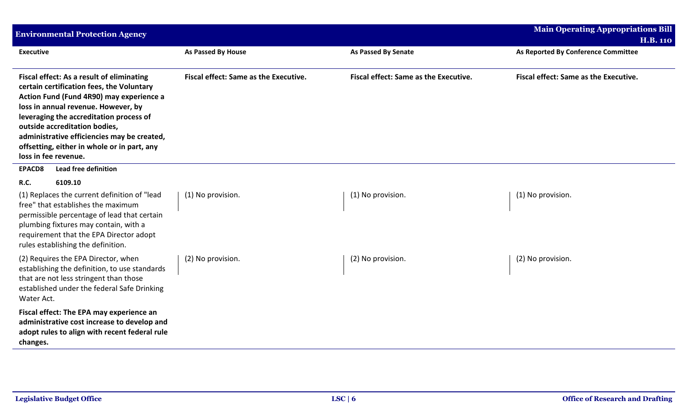| <b>Environmental Protection Agency</b>                                                                                                                                                                                                                                                                                                                                      |                                       |                                       | <b>Main Operating Appropriations Bill</b><br><b>H.B. 110</b> |
|-----------------------------------------------------------------------------------------------------------------------------------------------------------------------------------------------------------------------------------------------------------------------------------------------------------------------------------------------------------------------------|---------------------------------------|---------------------------------------|--------------------------------------------------------------|
| <b>Executive</b>                                                                                                                                                                                                                                                                                                                                                            | <b>As Passed By House</b>             | <b>As Passed By Senate</b>            | As Reported By Conference Committee                          |
| Fiscal effect: As a result of eliminating<br>certain certification fees, the Voluntary<br>Action Fund (Fund 4R90) may experience a<br>loss in annual revenue. However, by<br>leveraging the accreditation process of<br>outside accreditation bodies,<br>administrative efficiencies may be created,<br>offsetting, either in whole or in part, any<br>loss in fee revenue. | Fiscal effect: Same as the Executive. | Fiscal effect: Same as the Executive. | Fiscal effect: Same as the Executive.                        |
| <b>Lead free definition</b><br><b>EPACD8</b>                                                                                                                                                                                                                                                                                                                                |                                       |                                       |                                                              |
| R.C.<br>6109.10<br>(1) Replaces the current definition of "lead<br>free" that establishes the maximum<br>permissible percentage of lead that certain<br>plumbing fixtures may contain, with a<br>requirement that the EPA Director adopt<br>rules establishing the definition.                                                                                              | (1) No provision.                     | (1) No provision.                     | (1) No provision.                                            |
| (2) Requires the EPA Director, when<br>establishing the definition, to use standards<br>that are not less stringent than those<br>established under the federal Safe Drinking<br>Water Act.                                                                                                                                                                                 | (2) No provision.                     | (2) No provision.                     | (2) No provision.                                            |
| Fiscal effect: The EPA may experience an<br>administrative cost increase to develop and<br>adopt rules to align with recent federal rule<br>changes.                                                                                                                                                                                                                        |                                       |                                       |                                                              |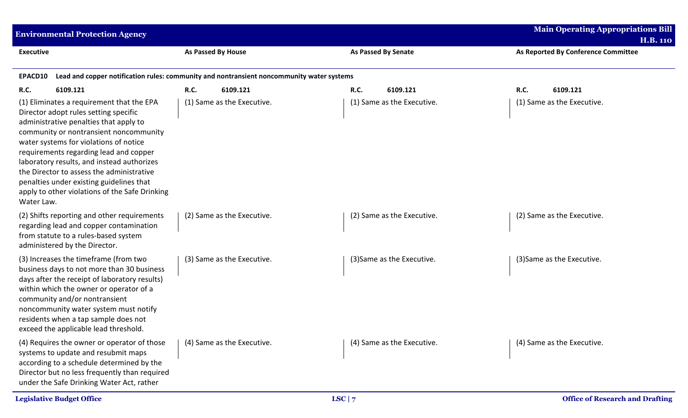| <b>Environmental Protection Agency</b>                                                                                                                                                                                                                                                                                                                                                                                                                            |                                                                                           | <b>Main Operating Appropriations Bill</b> |                                                        |  |
|-------------------------------------------------------------------------------------------------------------------------------------------------------------------------------------------------------------------------------------------------------------------------------------------------------------------------------------------------------------------------------------------------------------------------------------------------------------------|-------------------------------------------------------------------------------------------|-------------------------------------------|--------------------------------------------------------|--|
| <b>Executive</b>                                                                                                                                                                                                                                                                                                                                                                                                                                                  | <b>As Passed By House</b>                                                                 | <b>As Passed By Senate</b>                | <b>H.B. 110</b><br>As Reported By Conference Committee |  |
|                                                                                                                                                                                                                                                                                                                                                                                                                                                                   |                                                                                           |                                           |                                                        |  |
| EPACD10                                                                                                                                                                                                                                                                                                                                                                                                                                                           | Lead and copper notification rules: community and nontransient noncommunity water systems |                                           |                                                        |  |
| 6109.121<br><b>R.C.</b>                                                                                                                                                                                                                                                                                                                                                                                                                                           | R.C.<br>6109.121                                                                          | 6109.121<br><b>R.C.</b>                   | R.C.<br>6109.121                                       |  |
| (1) Eliminates a requirement that the EPA<br>Director adopt rules setting specific<br>administrative penalties that apply to<br>community or nontransient noncommunity<br>water systems for violations of notice<br>requirements regarding lead and copper<br>laboratory results, and instead authorizes<br>the Director to assess the administrative<br>penalties under existing guidelines that<br>apply to other violations of the Safe Drinking<br>Water Law. | (1) Same as the Executive.                                                                | (1) Same as the Executive.                | (1) Same as the Executive.                             |  |
| (2) Shifts reporting and other requirements<br>regarding lead and copper contamination<br>from statute to a rules-based system<br>administered by the Director.                                                                                                                                                                                                                                                                                                   | (2) Same as the Executive.                                                                | (2) Same as the Executive.                | (2) Same as the Executive.                             |  |
| (3) Increases the timeframe (from two<br>business days to not more than 30 business<br>days after the receipt of laboratory results)<br>within which the owner or operator of a<br>community and/or nontransient<br>noncommunity water system must notify<br>residents when a tap sample does not<br>exceed the applicable lead threshold.                                                                                                                        | (3) Same as the Executive.                                                                | (3) Same as the Executive.                | (3) Same as the Executive.                             |  |
| (4) Requires the owner or operator of those<br>systems to update and resubmit maps<br>according to a schedule determined by the<br>Director but no less frequently than required<br>under the Safe Drinking Water Act, rather                                                                                                                                                                                                                                     | (4) Same as the Executive.                                                                | (4) Same as the Executive.                | (4) Same as the Executive.                             |  |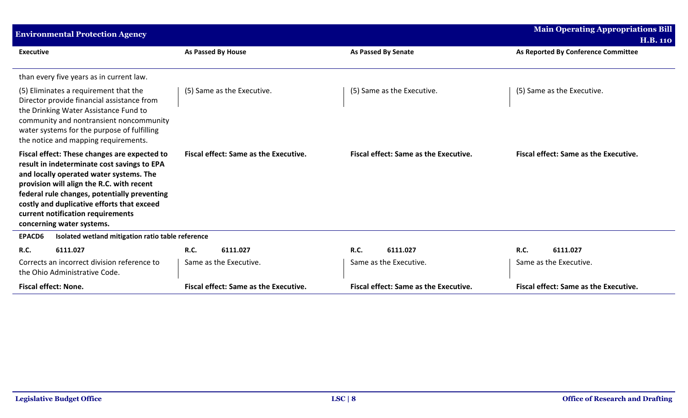| <b>Environmental Protection Agency</b>                                                                                                                                                                                                                                                                                                              |                                              |                                              | <b>Main Operating Appropriations Bill</b> |
|-----------------------------------------------------------------------------------------------------------------------------------------------------------------------------------------------------------------------------------------------------------------------------------------------------------------------------------------------------|----------------------------------------------|----------------------------------------------|-------------------------------------------|
|                                                                                                                                                                                                                                                                                                                                                     |                                              |                                              | <b>H.B. 110</b>                           |
| <b>Executive</b>                                                                                                                                                                                                                                                                                                                                    | <b>As Passed By House</b>                    | <b>As Passed By Senate</b>                   | As Reported By Conference Committee       |
| than every five years as in current law.                                                                                                                                                                                                                                                                                                            |                                              |                                              |                                           |
| (5) Eliminates a requirement that the<br>Director provide financial assistance from<br>the Drinking Water Assistance Fund to<br>community and nontransient noncommunity<br>water systems for the purpose of fulfilling<br>the notice and mapping requirements.                                                                                      | (5) Same as the Executive.                   | (5) Same as the Executive.                   | (5) Same as the Executive.                |
| Fiscal effect: These changes are expected to<br>result in indeterminate cost savings to EPA<br>and locally operated water systems. The<br>provision will align the R.C. with recent<br>federal rule changes, potentially preventing<br>costly and duplicative efforts that exceed<br>current notification requirements<br>concerning water systems. | Fiscal effect: Same as the Executive.        | Fiscal effect: Same as the Executive.        | Fiscal effect: Same as the Executive.     |
| EPACD6<br>Isolated wetland mitigation ratio table reference                                                                                                                                                                                                                                                                                         |                                              |                                              |                                           |
| 6111.027<br><b>R.C.</b>                                                                                                                                                                                                                                                                                                                             | <b>R.C.</b><br>6111.027                      | <b>R.C.</b><br>6111.027                      | <b>R.C.</b><br>6111.027                   |
| Corrects an incorrect division reference to<br>the Ohio Administrative Code.                                                                                                                                                                                                                                                                        | Same as the Executive.                       | Same as the Executive.                       | Same as the Executive.                    |
| <b>Fiscal effect: None.</b>                                                                                                                                                                                                                                                                                                                         | <b>Fiscal effect: Same as the Executive.</b> | <b>Fiscal effect: Same as the Executive.</b> | Fiscal effect: Same as the Executive.     |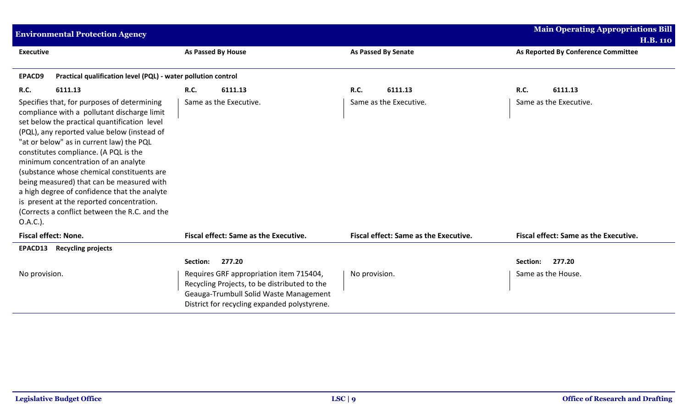| <b>Environmental Protection Agency</b>                                                                                                                                                                                                                                                                                                                                                                                                                                                                                                                                     |                                                                                                                                                                                   |                                       | <b>Main Operating Appropriations Bill</b> |
|----------------------------------------------------------------------------------------------------------------------------------------------------------------------------------------------------------------------------------------------------------------------------------------------------------------------------------------------------------------------------------------------------------------------------------------------------------------------------------------------------------------------------------------------------------------------------|-----------------------------------------------------------------------------------------------------------------------------------------------------------------------------------|---------------------------------------|-------------------------------------------|
|                                                                                                                                                                                                                                                                                                                                                                                                                                                                                                                                                                            |                                                                                                                                                                                   |                                       | <b>H.B. 110</b>                           |
| <b>Executive</b>                                                                                                                                                                                                                                                                                                                                                                                                                                                                                                                                                           | As Passed By House                                                                                                                                                                | <b>As Passed By Senate</b>            | As Reported By Conference Committee       |
|                                                                                                                                                                                                                                                                                                                                                                                                                                                                                                                                                                            |                                                                                                                                                                                   |                                       |                                           |
| Practical qualification level (PQL) - water pollution control<br><b>EPACD9</b>                                                                                                                                                                                                                                                                                                                                                                                                                                                                                             |                                                                                                                                                                                   |                                       |                                           |
| <b>R.C.</b><br>6111.13                                                                                                                                                                                                                                                                                                                                                                                                                                                                                                                                                     | 6111.13<br><b>R.C.</b>                                                                                                                                                            | <b>R.C.</b><br>6111.13                | <b>R.C.</b><br>6111.13                    |
| Specifies that, for purposes of determining<br>compliance with a pollutant discharge limit<br>set below the practical quantification level<br>(PQL), any reported value below (instead of<br>"at or below" as in current law) the PQL<br>constitutes compliance. (A PQL is the<br>minimum concentration of an analyte<br>(substance whose chemical constituents are<br>being measured) that can be measured with<br>a high degree of confidence that the analyte<br>is present at the reported concentration.<br>(Corrects a conflict between the R.C. and the<br>O.A.C.). | Same as the Executive.                                                                                                                                                            | Same as the Executive.                | Same as the Executive.                    |
| <b>Fiscal effect: None.</b>                                                                                                                                                                                                                                                                                                                                                                                                                                                                                                                                                | <b>Fiscal effect: Same as the Executive.</b>                                                                                                                                      | Fiscal effect: Same as the Executive. | Fiscal effect: Same as the Executive.     |
| EPACD13<br><b>Recycling projects</b>                                                                                                                                                                                                                                                                                                                                                                                                                                                                                                                                       |                                                                                                                                                                                   |                                       |                                           |
|                                                                                                                                                                                                                                                                                                                                                                                                                                                                                                                                                                            | 277.20<br>Section:                                                                                                                                                                |                                       | 277.20<br>Section:                        |
| No provision.                                                                                                                                                                                                                                                                                                                                                                                                                                                                                                                                                              | Requires GRF appropriation item 715404,<br>Recycling Projects, to be distributed to the<br>Geauga-Trumbull Solid Waste Management<br>District for recycling expanded polystyrene. | No provision.                         | Same as the House.                        |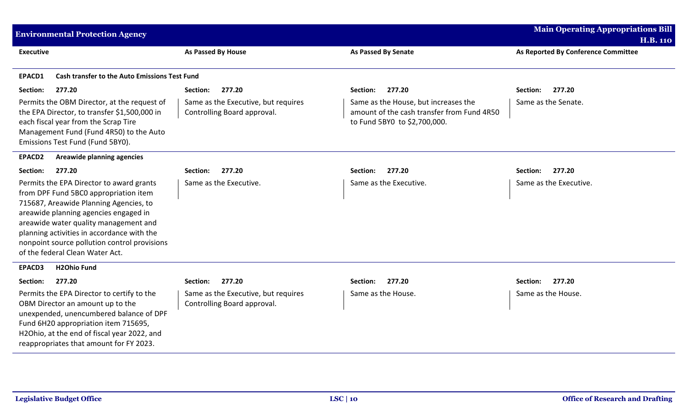|                  | <b>Environmental Protection Agency</b>                                                                                                                                                                                                                                                                                                         |                                                                    |                                                                                                                    | <b>Main Operating Appropriations Bill</b><br><b>H.B. 110</b> |
|------------------|------------------------------------------------------------------------------------------------------------------------------------------------------------------------------------------------------------------------------------------------------------------------------------------------------------------------------------------------|--------------------------------------------------------------------|--------------------------------------------------------------------------------------------------------------------|--------------------------------------------------------------|
| <b>Executive</b> |                                                                                                                                                                                                                                                                                                                                                | As Passed By House                                                 | <b>As Passed By Senate</b>                                                                                         | As Reported By Conference Committee                          |
| EPACD1           | <b>Cash transfer to the Auto Emissions Test Fund</b>                                                                                                                                                                                                                                                                                           |                                                                    |                                                                                                                    |                                                              |
| Section:         | 277.20                                                                                                                                                                                                                                                                                                                                         | 277.20<br>Section:                                                 | 277.20<br>Section:                                                                                                 | 277.20<br>Section:                                           |
|                  | Permits the OBM Director, at the request of<br>the EPA Director, to transfer \$1,500,000 in<br>each fiscal year from the Scrap Tire<br>Management Fund (Fund 4R50) to the Auto<br>Emissions Test Fund (Fund 5BY0).                                                                                                                             | Same as the Executive, but requires<br>Controlling Board approval. | Same as the House, but increases the<br>amount of the cash transfer from Fund 4R50<br>to Fund 5BY0 to \$2,700,000. | Same as the Senate.                                          |
| EPACD2           | Areawide planning agencies                                                                                                                                                                                                                                                                                                                     |                                                                    |                                                                                                                    |                                                              |
| Section:         | 277.20                                                                                                                                                                                                                                                                                                                                         | 277.20<br>Section:                                                 | 277.20<br>Section:                                                                                                 | 277.20<br>Section:                                           |
|                  | Permits the EPA Director to award grants<br>from DPF Fund 5BC0 appropriation item<br>715687, Areawide Planning Agencies, to<br>areawide planning agencies engaged in<br>areawide water quality management and<br>planning activities in accordance with the<br>nonpoint source pollution control provisions<br>of the federal Clean Water Act. | Same as the Executive.                                             | Same as the Executive.                                                                                             | Same as the Executive.                                       |
| EPACD3           | <b>H2Ohio Fund</b>                                                                                                                                                                                                                                                                                                                             |                                                                    |                                                                                                                    |                                                              |
| Section:         | 277.20                                                                                                                                                                                                                                                                                                                                         | 277.20<br>Section:                                                 | 277.20<br>Section:                                                                                                 | 277.20<br>Section:                                           |
|                  | Permits the EPA Director to certify to the<br>OBM Director an amount up to the<br>unexpended, unencumbered balance of DPF<br>Fund 6H20 appropriation item 715695,<br>H2Ohio, at the end of fiscal year 2022, and<br>reappropriates that amount for FY 2023.                                                                                    | Same as the Executive, but requires<br>Controlling Board approval. | Same as the House.                                                                                                 | Same as the House.                                           |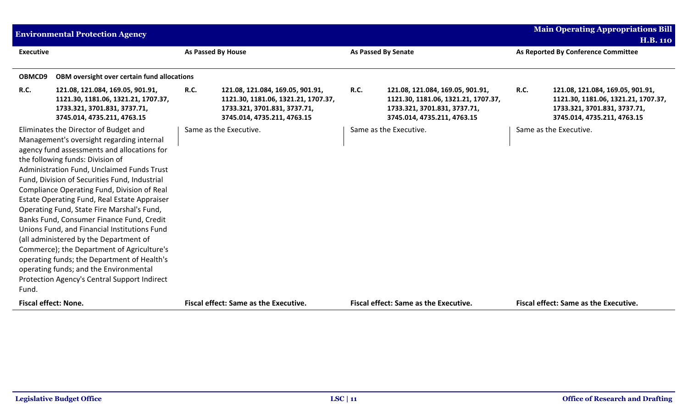|                  | <b>Environmental Protection Agency</b>                                                                                                                                                                                                                                                                                                                                                                                                                                                                                                                                                                                                                                                                                                          |             |                                                                                                                                        |             |                                                                                                                                        |             | <b>Main Operating Appropriations Bill</b>                                                                                              |
|------------------|-------------------------------------------------------------------------------------------------------------------------------------------------------------------------------------------------------------------------------------------------------------------------------------------------------------------------------------------------------------------------------------------------------------------------------------------------------------------------------------------------------------------------------------------------------------------------------------------------------------------------------------------------------------------------------------------------------------------------------------------------|-------------|----------------------------------------------------------------------------------------------------------------------------------------|-------------|----------------------------------------------------------------------------------------------------------------------------------------|-------------|----------------------------------------------------------------------------------------------------------------------------------------|
|                  |                                                                                                                                                                                                                                                                                                                                                                                                                                                                                                                                                                                                                                                                                                                                                 |             |                                                                                                                                        |             |                                                                                                                                        |             | <b>H.B. 110</b>                                                                                                                        |
| <b>Executive</b> |                                                                                                                                                                                                                                                                                                                                                                                                                                                                                                                                                                                                                                                                                                                                                 |             | <b>As Passed By House</b>                                                                                                              |             | <b>As Passed By Senate</b>                                                                                                             |             | As Reported By Conference Committee                                                                                                    |
|                  |                                                                                                                                                                                                                                                                                                                                                                                                                                                                                                                                                                                                                                                                                                                                                 |             |                                                                                                                                        |             |                                                                                                                                        |             |                                                                                                                                        |
| OBMCD9           | OBM oversight over certain fund allocations                                                                                                                                                                                                                                                                                                                                                                                                                                                                                                                                                                                                                                                                                                     |             |                                                                                                                                        |             |                                                                                                                                        |             |                                                                                                                                        |
| R.C.             | 121.08, 121.084, 169.05, 901.91,<br>1121.30, 1181.06, 1321.21, 1707.37,<br>1733.321, 3701.831, 3737.71,<br>3745.014, 4735.211, 4763.15                                                                                                                                                                                                                                                                                                                                                                                                                                                                                                                                                                                                          | <b>R.C.</b> | 121.08, 121.084, 169.05, 901.91,<br>1121.30, 1181.06, 1321.21, 1707.37,<br>1733.321, 3701.831, 3737.71,<br>3745.014, 4735.211, 4763.15 | <b>R.C.</b> | 121.08, 121.084, 169.05, 901.91,<br>1121.30, 1181.06, 1321.21, 1707.37,<br>1733.321, 3701.831, 3737.71,<br>3745.014, 4735.211, 4763.15 | <b>R.C.</b> | 121.08, 121.084, 169.05, 901.91,<br>1121.30, 1181.06, 1321.21, 1707.37,<br>1733.321, 3701.831, 3737.71,<br>3745.014, 4735.211, 4763.15 |
| Fund.            | Eliminates the Director of Budget and<br>Management's oversight regarding internal<br>agency fund assessments and allocations for<br>the following funds: Division of<br>Administration Fund, Unclaimed Funds Trust<br>Fund, Division of Securities Fund, Industrial<br>Compliance Operating Fund, Division of Real<br>Estate Operating Fund, Real Estate Appraiser<br>Operating Fund, State Fire Marshal's Fund,<br>Banks Fund, Consumer Finance Fund, Credit<br>Unions Fund, and Financial Institutions Fund<br>(all administered by the Department of<br>Commerce); the Department of Agriculture's<br>operating funds; the Department of Health's<br>operating funds; and the Environmental<br>Protection Agency's Central Support Indirect |             | Same as the Executive.                                                                                                                 |             | Same as the Executive.                                                                                                                 |             | Same as the Executive.                                                                                                                 |
|                  | <b>Fiscal effect: None.</b>                                                                                                                                                                                                                                                                                                                                                                                                                                                                                                                                                                                                                                                                                                                     |             | <b>Fiscal effect: Same as the Executive.</b>                                                                                           |             | <b>Fiscal effect: Same as the Executive.</b>                                                                                           |             | <b>Fiscal effect: Same as the Executive.</b>                                                                                           |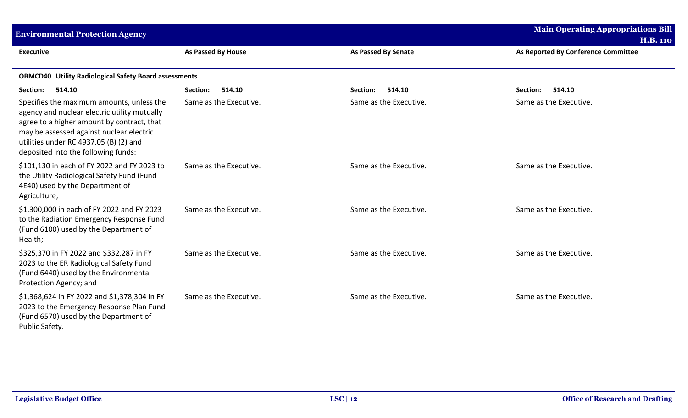| <b>Environmental Protection Agency</b>                                                                                                                                                                                                                               | <b>Main Operating Appropriations Bill</b><br><b>H.B. 110</b> |                            |                                     |  |  |  |  |  |  |
|----------------------------------------------------------------------------------------------------------------------------------------------------------------------------------------------------------------------------------------------------------------------|--------------------------------------------------------------|----------------------------|-------------------------------------|--|--|--|--|--|--|
| <b>Executive</b>                                                                                                                                                                                                                                                     | As Passed By House                                           | <b>As Passed By Senate</b> | As Reported By Conference Committee |  |  |  |  |  |  |
|                                                                                                                                                                                                                                                                      | <b>OBMCD40 Utility Radiological Safety Board assessments</b> |                            |                                     |  |  |  |  |  |  |
| 514.10<br>Section:                                                                                                                                                                                                                                                   | 514.10<br>Section:                                           | 514.10<br>Section:         | 514.10<br>Section:                  |  |  |  |  |  |  |
| Specifies the maximum amounts, unless the<br>agency and nuclear electric utility mutually<br>agree to a higher amount by contract, that<br>may be assessed against nuclear electric<br>utilities under RC 4937.05 (B) (2) and<br>deposited into the following funds: | Same as the Executive.                                       | Same as the Executive.     | Same as the Executive.              |  |  |  |  |  |  |
| \$101,130 in each of FY 2022 and FY 2023 to<br>the Utility Radiological Safety Fund (Fund<br>4E40) used by the Department of<br>Agriculture;                                                                                                                         | Same as the Executive.                                       | Same as the Executive.     | Same as the Executive.              |  |  |  |  |  |  |
| \$1,300,000 in each of FY 2022 and FY 2023<br>to the Radiation Emergency Response Fund<br>(Fund 6100) used by the Department of<br>Health;                                                                                                                           | Same as the Executive.                                       | Same as the Executive.     | Same as the Executive.              |  |  |  |  |  |  |
| \$325,370 in FY 2022 and \$332,287 in FY<br>2023 to the ER Radiological Safety Fund<br>(Fund 6440) used by the Environmental<br>Protection Agency; and                                                                                                               | Same as the Executive.                                       | Same as the Executive.     | Same as the Executive.              |  |  |  |  |  |  |
| \$1,368,624 in FY 2022 and \$1,378,304 in FY<br>2023 to the Emergency Response Plan Fund<br>(Fund 6570) used by the Department of<br>Public Safety.                                                                                                                  | Same as the Executive.                                       | Same as the Executive.     | Same as the Executive.              |  |  |  |  |  |  |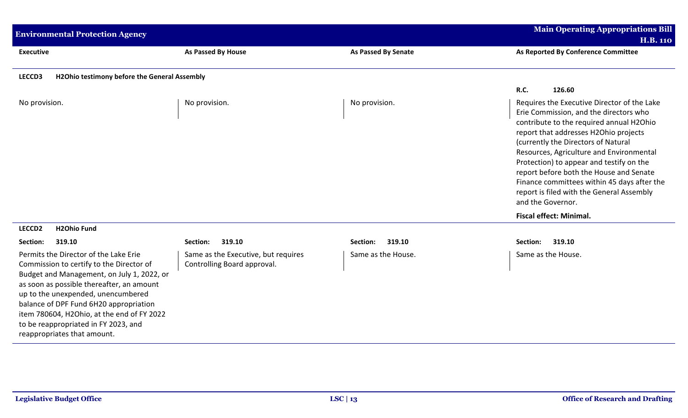| <b>Environmental Protection Agency</b>                                                                                                                                                                                                                                                                                                                                            |                                                                    |                            | <b>Main Operating Appropriations Bill</b><br><b>H.B. 110</b>                                                                                                                                                                                                                                                                                                                                                                                                          |  |
|-----------------------------------------------------------------------------------------------------------------------------------------------------------------------------------------------------------------------------------------------------------------------------------------------------------------------------------------------------------------------------------|--------------------------------------------------------------------|----------------------------|-----------------------------------------------------------------------------------------------------------------------------------------------------------------------------------------------------------------------------------------------------------------------------------------------------------------------------------------------------------------------------------------------------------------------------------------------------------------------|--|
| <b>Executive</b>                                                                                                                                                                                                                                                                                                                                                                  | As Passed By House                                                 | <b>As Passed By Senate</b> | As Reported By Conference Committee                                                                                                                                                                                                                                                                                                                                                                                                                                   |  |
| LECCD3<br>H2Ohio testimony before the General Assembly                                                                                                                                                                                                                                                                                                                            |                                                                    |                            |                                                                                                                                                                                                                                                                                                                                                                                                                                                                       |  |
|                                                                                                                                                                                                                                                                                                                                                                                   |                                                                    |                            | R.C.<br>126.60                                                                                                                                                                                                                                                                                                                                                                                                                                                        |  |
| No provision.                                                                                                                                                                                                                                                                                                                                                                     | No provision.                                                      | No provision.              | Requires the Executive Director of the Lake<br>Erie Commission, and the directors who<br>contribute to the required annual H2Ohio<br>report that addresses H2Ohio projects<br>(currently the Directors of Natural<br>Resources, Agriculture and Environmental<br>Protection) to appear and testify on the<br>report before both the House and Senate<br>Finance committees within 45 days after the<br>report is filed with the General Assembly<br>and the Governor. |  |
|                                                                                                                                                                                                                                                                                                                                                                                   |                                                                    |                            | <b>Fiscal effect: Minimal.</b>                                                                                                                                                                                                                                                                                                                                                                                                                                        |  |
| <b>H2Ohio Fund</b><br>LECCD <sub>2</sub>                                                                                                                                                                                                                                                                                                                                          |                                                                    |                            |                                                                                                                                                                                                                                                                                                                                                                                                                                                                       |  |
| Section:<br>319.10                                                                                                                                                                                                                                                                                                                                                                | 319.10<br>Section:                                                 | 319.10<br>Section:         | Section:<br>319.10                                                                                                                                                                                                                                                                                                                                                                                                                                                    |  |
| Permits the Director of the Lake Erie<br>Commission to certify to the Director of<br>Budget and Management, on July 1, 2022, or<br>as soon as possible thereafter, an amount<br>up to the unexpended, unencumbered<br>balance of DPF Fund 6H20 appropriation<br>item 780604, H2Ohio, at the end of FY 2022<br>to be reappropriated in FY 2023, and<br>reappropriates that amount. | Same as the Executive, but requires<br>Controlling Board approval. | Same as the House.         | Same as the House.                                                                                                                                                                                                                                                                                                                                                                                                                                                    |  |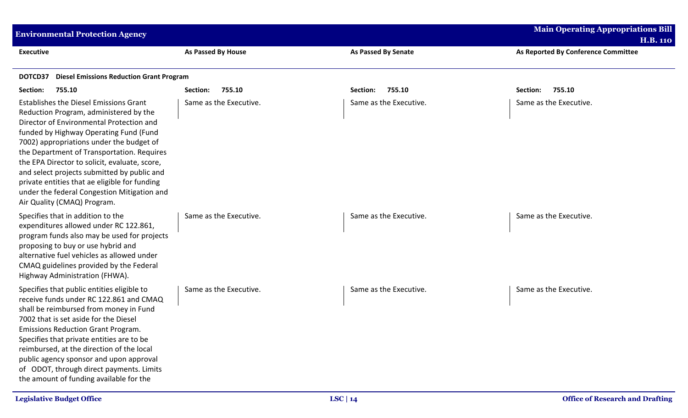| <b>Environmental Protection Agency</b>                                                                                                                                                                                                                                                                                                                                                                                                                                                                 |                        | <b>Main Operating Appropriations Bill</b><br><b>H.B. 110</b> |                                     |  |  |  |
|--------------------------------------------------------------------------------------------------------------------------------------------------------------------------------------------------------------------------------------------------------------------------------------------------------------------------------------------------------------------------------------------------------------------------------------------------------------------------------------------------------|------------------------|--------------------------------------------------------------|-------------------------------------|--|--|--|
| <b>Executive</b>                                                                                                                                                                                                                                                                                                                                                                                                                                                                                       | As Passed By House     | <b>As Passed By Senate</b>                                   | As Reported By Conference Committee |  |  |  |
| <b>Diesel Emissions Reduction Grant Program</b><br>DOTCD37                                                                                                                                                                                                                                                                                                                                                                                                                                             |                        |                                                              |                                     |  |  |  |
| Section:<br>755.10                                                                                                                                                                                                                                                                                                                                                                                                                                                                                     | 755.10<br>Section:     | 755.10<br>Section:                                           | 755.10<br>Section:                  |  |  |  |
| <b>Establishes the Diesel Emissions Grant</b><br>Reduction Program, administered by the<br>Director of Environmental Protection and<br>funded by Highway Operating Fund (Fund<br>7002) appropriations under the budget of<br>the Department of Transportation. Requires<br>the EPA Director to solicit, evaluate, score,<br>and select projects submitted by public and<br>private entities that ae eligible for funding<br>under the federal Congestion Mitigation and<br>Air Quality (CMAQ) Program. | Same as the Executive. | Same as the Executive.                                       | Same as the Executive.              |  |  |  |
| Specifies that in addition to the<br>expenditures allowed under RC 122.861,<br>program funds also may be used for projects<br>proposing to buy or use hybrid and<br>alternative fuel vehicles as allowed under<br>CMAQ guidelines provided by the Federal<br>Highway Administration (FHWA).                                                                                                                                                                                                            | Same as the Executive. | Same as the Executive.                                       | Same as the Executive.              |  |  |  |
| Specifies that public entities eligible to<br>receive funds under RC 122.861 and CMAQ<br>shall be reimbursed from money in Fund<br>7002 that is set aside for the Diesel<br><b>Emissions Reduction Grant Program.</b><br>Specifies that private entities are to be<br>reimbursed, at the direction of the local<br>public agency sponsor and upon approval<br>of ODOT, through direct payments. Limits<br>the amount of funding available for the                                                      | Same as the Executive. | Same as the Executive.                                       | Same as the Executive.              |  |  |  |